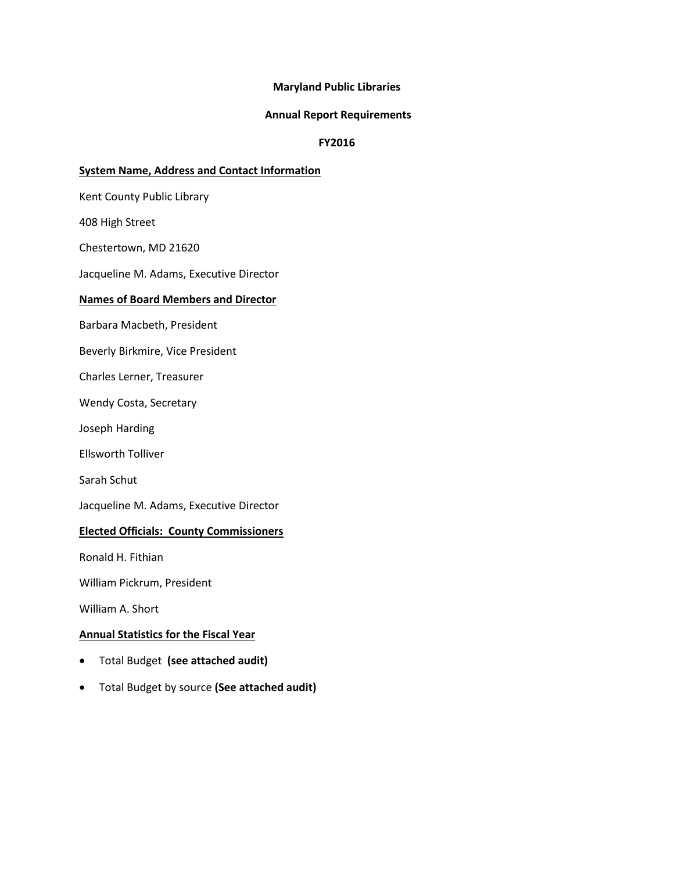#### **Maryland Public Libraries**

#### **Annual Report Requirements**

#### **FY2016**

#### **System Name, Address and Contact Information**

Kent County Public Library

408 High Street

Chestertown, MD 21620

Jacqueline M. Adams, Executive Director

#### **Names of Board Members and Director**

Barbara Macbeth, President

Beverly Birkmire, Vice President

Charles Lerner, Treasurer

Wendy Costa, Secretary

Joseph Harding

Ellsworth Tolliver

Sarah Schut

Jacqueline M. Adams, Executive Director

#### **Elected Officials: County Commissioners**

Ronald H. Fithian

William Pickrum, President

William A. Short

## **Annual Statistics for the Fiscal Year**

- Total Budget **(see attached audit)**
- Total Budget by source **(See attached audit)**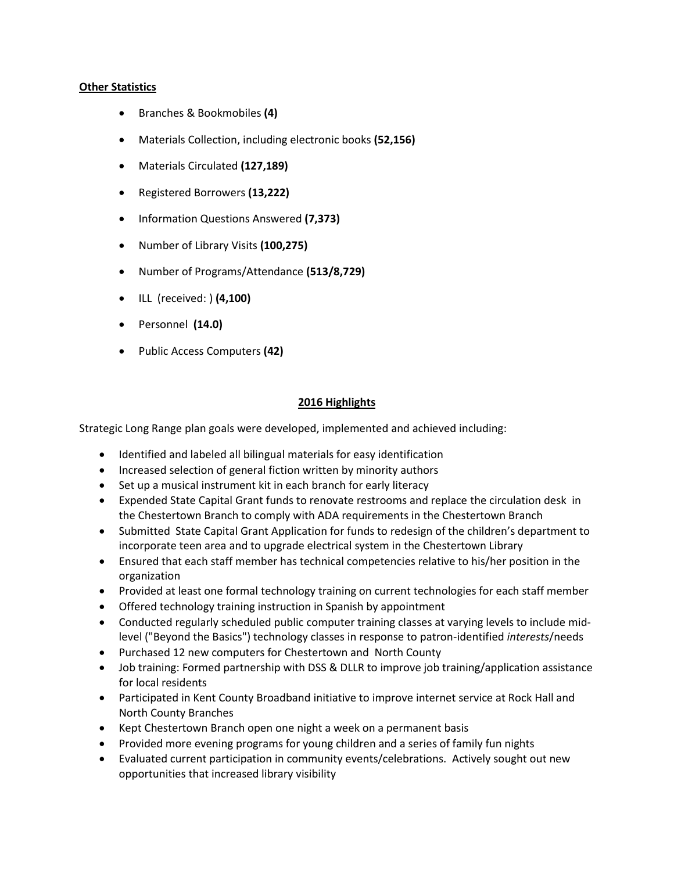#### **Other Statistics**

- Branches & Bookmobiles **(4)**
- Materials Collection, including electronic books **(52,156)**
- Materials Circulated **(127,189)**
- Registered Borrowers **(13,222)**
- Information Questions Answered **(7,373)**
- Number of Library Visits **(100,275)**
- Number of Programs/Attendance **(513/8,729)**
- ILL (received: ) **(4,100)**
- Personnel **(14.0)**
- Public Access Computers **(42)**

# **2016 Highlights**

Strategic Long Range plan goals were developed, implemented and achieved including:

- Identified and labeled all bilingual materials for easy identification
- Increased selection of general fiction written by minority authors
- Set up a musical instrument kit in each branch for early literacy
- Expended State Capital Grant funds to renovate restrooms and replace the circulation desk in the Chestertown Branch to comply with ADA requirements in the Chestertown Branch
- Submitted State Capital Grant Application for funds to redesign of the children's department to incorporate teen area and to upgrade electrical system in the Chestertown Library
- Ensured that each staff member has technical competencies relative to his/her position in the organization
- Provided at least one formal technology training on current technologies for each staff member
- Offered technology training instruction in Spanish by appointment
- Conducted regularly scheduled public computer training classes at varying levels to include midlevel ("Beyond the Basics") technology classes in response to patron-identified *interests*/needs
- Purchased 12 new computers for Chestertown and North County
- Job training: Formed partnership with DSS & DLLR to improve job training/application assistance for local residents
- Participated in Kent County Broadband initiative to improve internet service at Rock Hall and North County Branches
- Kept Chestertown Branch open one night a week on a permanent basis
- Provided more evening programs for young children and a series of family fun nights
- Evaluated current participation in community events/celebrations. Actively sought out new opportunities that increased library visibility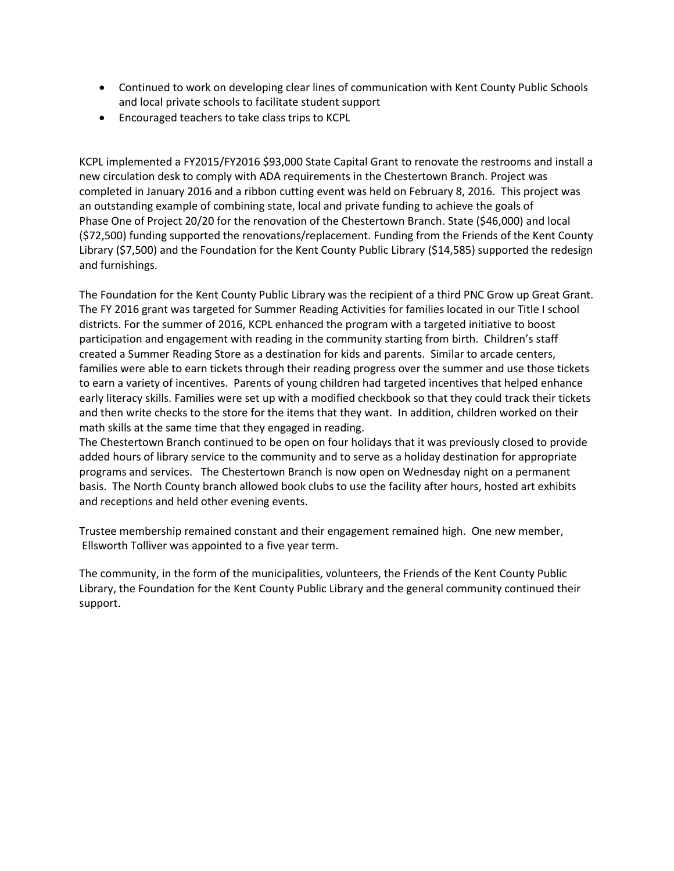- Continued to work on developing clear lines of communication with Kent County Public Schools and local private schools to facilitate student support
- Encouraged teachers to take class trips to KCPL

KCPL implemented a FY2015/FY2016 \$93,000 State Capital Grant to renovate the restrooms and install a new circulation desk to comply with ADA requirements in the Chestertown Branch. Project was completed in January 2016 and a ribbon cutting event was held on February 8, 2016. This project was an outstanding example of combining state, local and private funding to achieve the goals of Phase One of Project 20/20 for the renovation of the Chestertown Branch. State (\$46,000) and local (\$72,500) funding supported the renovations/replacement. Funding from the Friends of the Kent County Library (\$7,500) and the Foundation for the Kent County Public Library (\$14,585) supported the redesign and furnishings.

The Foundation for the Kent County Public Library was the recipient of a third PNC Grow up Great Grant. The FY 2016 grant was targeted for Summer Reading Activities for families located in our Title I school districts. For the summer of 2016, KCPL enhanced the program with a targeted initiative to boost participation and engagement with reading in the community starting from birth. Children's staff created a Summer Reading Store as a destination for kids and parents. Similar to arcade centers, families were able to earn tickets through their reading progress over the summer and use those tickets to earn a variety of incentives. Parents of young children had targeted incentives that helped enhance early literacy skills. Families were set up with a modified checkbook so that they could track their tickets and then write checks to the store for the items that they want. In addition, children worked on their math skills at the same time that they engaged in reading.

The Chestertown Branch continued to be open on four holidays that it was previously closed to provide added hours of library service to the community and to serve as a holiday destination for appropriate programs and services. The Chestertown Branch is now open on Wednesday night on a permanent basis. The North County branch allowed book clubs to use the facility after hours, hosted art exhibits and receptions and held other evening events.

Trustee membership remained constant and their engagement remained high. One new member, Ellsworth Tolliver was appointed to a five year term.

The community, in the form of the municipalities, volunteers, the Friends of the Kent County Public Library, the Foundation for the Kent County Public Library and the general community continued their support.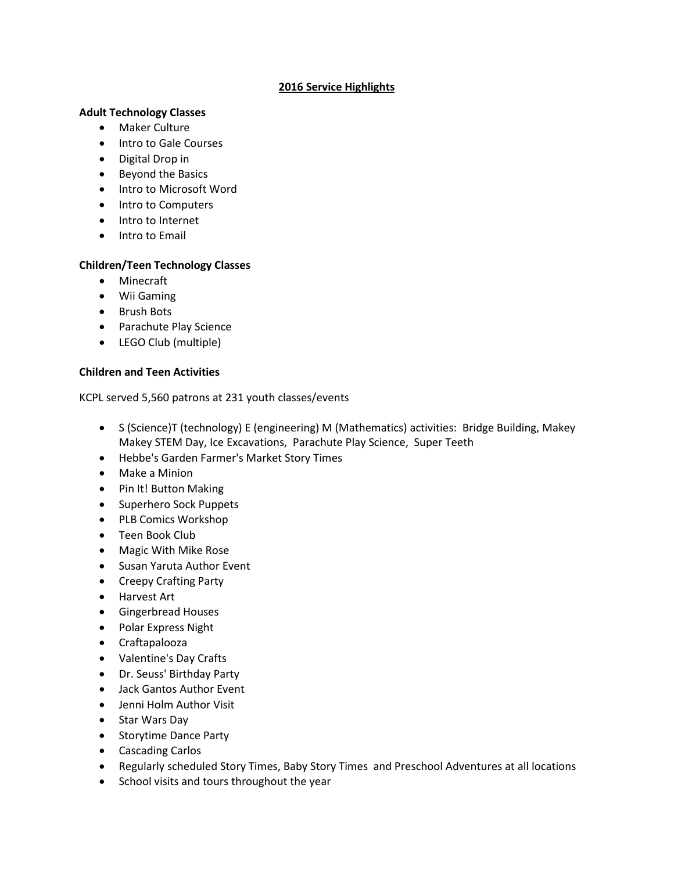## **2016 Service Highlights**

#### **Adult Technology Classes**

- Maker Culture
- Intro to Gale Courses
- Digital Drop in
- Beyond the Basics
- Intro to Microsoft Word
- Intro to Computers
- Intro to Internet
- Intro to Email

## **Children/Teen Technology Classes**

- Minecraft
- Wii Gaming
- Brush Bots
- Parachute Play Science
- LEGO Club (multiple)

## **Children and Teen Activities**

KCPL served 5,560 patrons at 231 youth classes/events

- S (Science)T (technology) E (engineering) M (Mathematics) activities: Bridge Building, Makey Makey STEM Day, Ice Excavations, Parachute Play Science, Super Teeth
- Hebbe's Garden Farmer's Market Story Times
- Make a Minion
- Pin It! Button Making
- Superhero Sock Puppets
- PLB Comics Workshop
- Teen Book Club
- Magic With Mike Rose
- Susan Yaruta Author Event
- Creepy Crafting Party
- Harvest Art
- **•** Gingerbread Houses
- Polar Express Night
- Craftapalooza
- Valentine's Day Crafts
- Dr. Seuss' Birthday Party
- Jack Gantos Author Event
- Jenni Holm Author Visit
- Star Wars Day
- Storytime Dance Party
- Cascading Carlos
- Regularly scheduled Story Times, Baby Story Times and Preschool Adventures at all locations
- School visits and tours throughout the year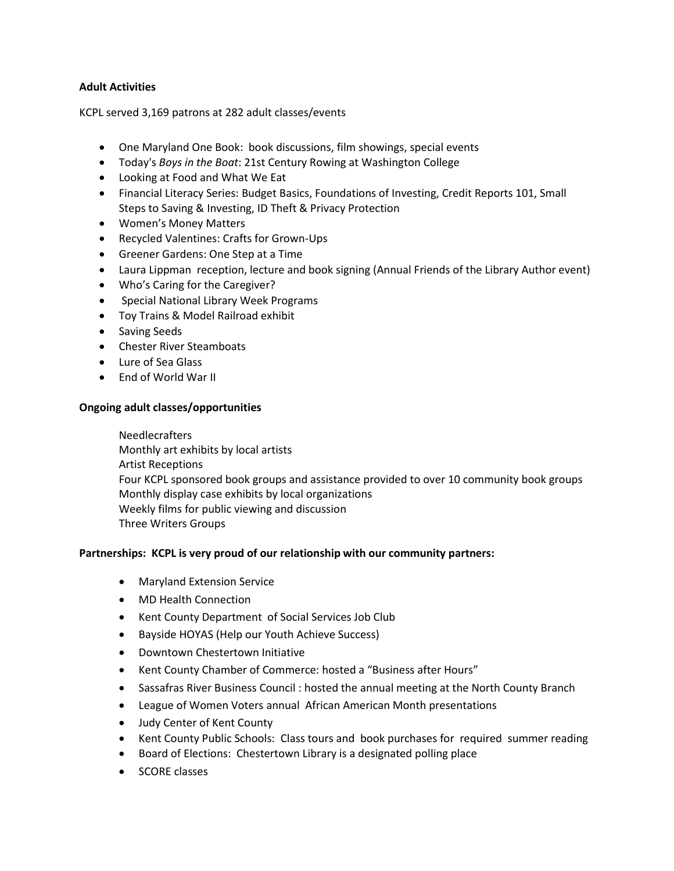# **Adult Activities**

KCPL served 3,169 patrons at 282 adult classes/events

- One Maryland One Book: book discussions, film showings, special events
- Today's *Boys in the Boat*: 21st Century Rowing at Washington College
- Looking at Food and What We Eat
- Financial Literacy Series: Budget Basics, Foundations of Investing, Credit Reports 101, Small Steps to Saving & Investing, ID Theft & Privacy Protection
- Women's Money Matters
- Recycled Valentines: Crafts for Grown-Ups
- Greener Gardens: One Step at a Time
- Laura Lippman reception, lecture and book signing (Annual Friends of the Library Author event)
- Who's Caring for the Caregiver?
- **•** Special National Library Week Programs
- Toy Trains & Model Railroad exhibit
- Saving Seeds
- Chester River Steamboats
- Lure of Sea Glass
- End of World War II

## **Ongoing adult classes/opportunities**

Needlecrafters Monthly art exhibits by local artists Artist Receptions Four KCPL sponsored book groups and assistance provided to over 10 community book groups Monthly display case exhibits by local organizations Weekly films for public viewing and discussion Three Writers Groups

## **Partnerships: KCPL is very proud of our relationship with our community partners:**

- Maryland Extension Service
- MD Health Connection
- Kent County Department of Social Services Job Club
- Bayside HOYAS (Help our Youth Achieve Success)
- Downtown Chestertown Initiative
- Kent County Chamber of Commerce: hosted a "Business after Hours"
- Sassafras River Business Council : hosted the annual meeting at the North County Branch
- League of Women Voters annual African American Month presentations
- Judy Center of Kent County
- Kent County Public Schools: Class tours and book purchases for required summer reading
- Board of Elections: Chestertown Library is a designated polling place
- SCORE classes